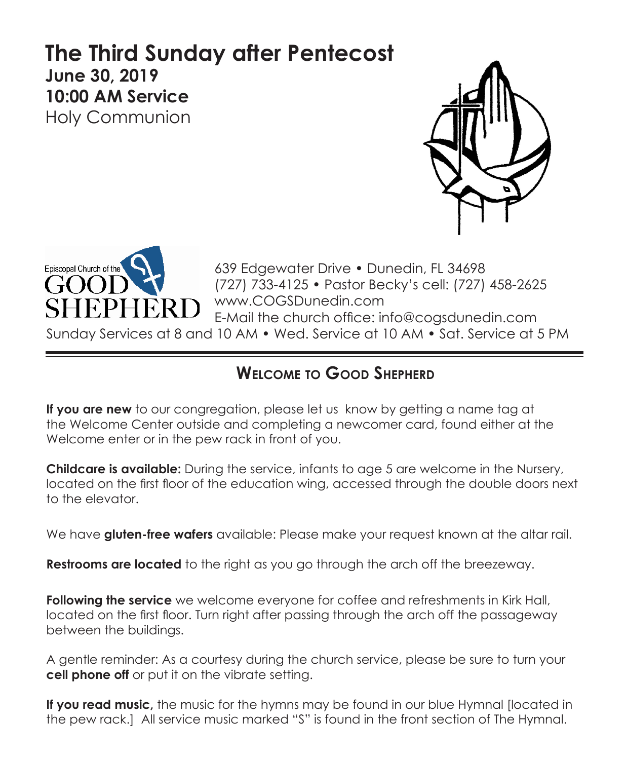# **The Third Sunday after Pentecost June 30, 2019 10:00 AM Service**  Holy Communion





639 Edgewater Drive • Dunedin, FL 34698 (727) 733-4125 • Pastor Becky's cell: (727) 458-2625 www.COGSDunedin.com E-Mail the church office: info@cogsdunedin.com

Sunday Services at 8 and 10 AM • Wed. Service at 10 AM • Sat. Service at 5 PM

# **Welcome to Good Shepherd**

**If you are new** to our congregation, please let us know by getting a name tag at the Welcome Center outside and completing a newcomer card, found either at the Welcome enter or in the pew rack in front of you.

**Childcare is available:** During the service, infants to age 5 are welcome in the Nursery, located on the first floor of the education wing, accessed through the double doors next to the elevator.

We have **gluten-free wafers** available: Please make your request known at the altar rail.

**Restrooms are located** to the right as you go through the arch off the breezeway.

**Following the service** we welcome everyone for coffee and refreshments in Kirk Hall, located on the first floor. Turn right after passing through the arch off the passageway between the buildings.

A gentle reminder: As a courtesy during the church service, please be sure to turn your **cell phone off** or put it on the vibrate setting.

**If you read music,** the music for the hymns may be found in our blue Hymnal [located in the pew rack.] All service music marked "S" is found in the front section of The Hymnal.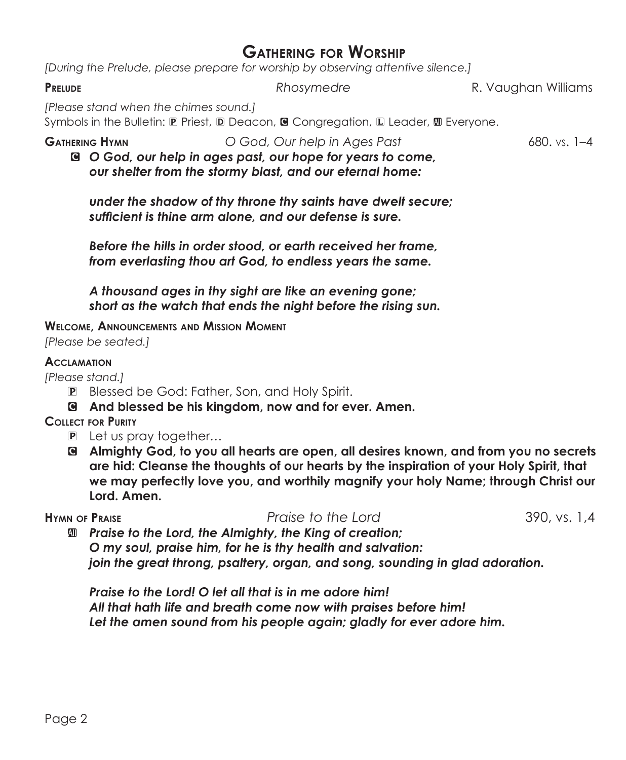## **Gathering for Worship**

*[During the Prelude, please prepare for worship by observing attentive silence.]*

**Prelude** *Rhosymedre* R. Vaughan Williams

*[Please stand when the chimes sound.]*

Symbols in the Bulletin:  $\mathbb D$  Priest,  $\mathbb D$  Deacon, **G** Congregation,  $\mathbb L$  Leader,  $\mathbb D$  Everyone.

**Gathering Hymn** *O God, Our help in Ages Past* 680. vs. 1–4

C *O God, our help in ages past, our hope for years to come, our shelter from the stormy blast, and our eternal home:*

*under the shadow of thy throne thy saints have dwelt secure; sufficient is thine arm alone, and our defense is sure.*

*Before the hills in order stood, or earth received her frame, from everlasting thou art God, to endless years the same.*

*A thousand ages in thy sight are like an evening gone; short as the watch that ends the night before the rising sun.*

**Welcome, Announcements and Mission Moment**

*[Please be seated.]*

### **Acclamation**

*[Please stand.]*

- P Blessed be God: Father, Son, and Holy Spirit.
- C **And blessed be his kingdom, now and for ever. Amen.**

**Collect for Purity**

- P Let us pray together…
- C **Almighty God, to you all hearts are open, all desires known, and from you no secrets are hid: Cleanse the thoughts of our hearts by the inspiration of your Holy Spirit, that we may perfectly love you, and worthily magnify your holy Name; through Christ our Lord. Amen.**

**Hymn of Praise** *Praise to the Lord* 390, vs. 1,4

a *Praise to the Lord, the Almighty, the King of creation; O my soul, praise him, for he is thy health and salvation: join the great throng, psaltery, organ, and song, sounding in glad adoration.*

*Praise to the Lord! O let all that is in me adore him! All that hath life and breath come now with praises before him! Let the amen sound from his people again; gladly for ever adore him.*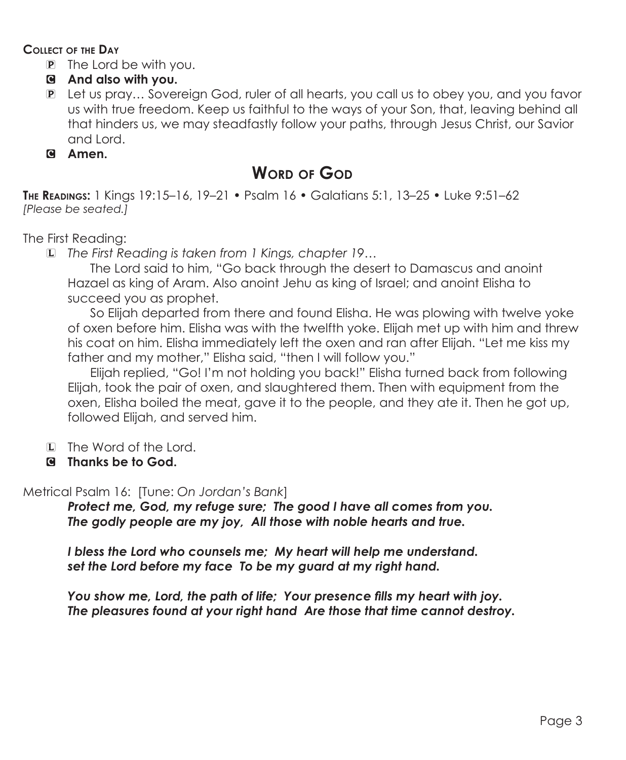### **Collect of the Day**

- P The Lord be with you.
- C **And also with you.**
- P Let us pray… Sovereign God, ruler of all hearts, you call us to obey you, and you favor us with true freedom. Keep us faithful to the ways of your Son, that, leaving behind all that hinders us, we may steadfastly follow your paths, through Jesus Christ, our Savior and Lord.
- C **Amen.**

# **Word of God**

**The Readings:** 1 Kings 19:15–16, 19–21 • Psalm 16 • Galatians 5:1, 13–25 • Luke 9:51–62 *[Please be seated.]*

The First Reading:

L *The First Reading is taken from 1 Kings, chapter 19…*

 The Lord said to him, "Go back through the desert to Damascus and anoint Hazael as king of Aram. Also anoint Jehu as king of Israel; and anoint Elisha to succeed you as prophet.

 So Elijah departed from there and found Elisha. He was plowing with twelve yoke of oxen before him. Elisha was with the twelfth yoke. Elijah met up with him and threw his coat on him. Elisha immediately left the oxen and ran after Elijah. "Let me kiss my father and my mother," Elisha said, "then I will follow you."

 Elijah replied, "Go! I'm not holding you back!" Elisha turned back from following Elijah, took the pair of oxen, and slaughtered them. Then with equipment from the oxen, Elisha boiled the meat, gave it to the people, and they ate it. Then he got up, followed Elijah, and served him.

- L The Word of the Lord.
- C **Thanks be to God.**

Metrical Psalm 16: [Tune: *On Jordan's Bank*]

*Protect me, God, my refuge sure; The good I have all comes from you. The godly people are my joy, All those with noble hearts and true.*

*I bless the Lord who counsels me; My heart will help me understand. set the Lord before my face To be my guard at my right hand.*

*You show me, Lord, the path of life; Your presence fills my heart with joy. The pleasures found at your right hand Are those that time cannot destroy.*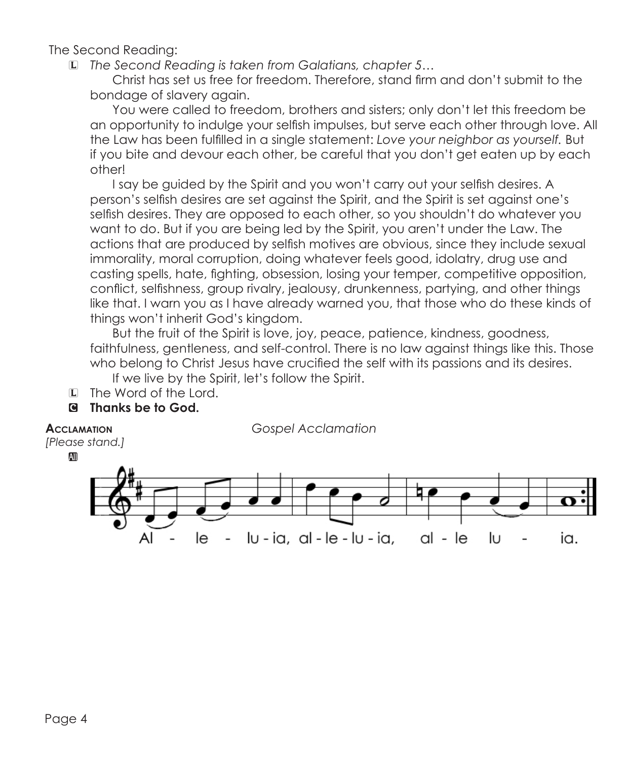The Second Reading:

L *The Second Reading is taken from Galatians, chapter 5…*

Christ has set us free for freedom. Therefore, stand firm and don't submit to the bondage of slavery again.

 You were called to freedom, brothers and sisters; only don't let this freedom be an opportunity to indulge your selfish impulses, but serve each other through love. All the Law has been fulfilled in a single statement: *Love your neighbor as yourself.* But if you bite and devour each other, be careful that you don't get eaten up by each other!

I say be guided by the Spirit and you won't carry out your selfish desires. A person's selfish desires are set against the Spirit, and the Spirit is set against one's selfish desires. They are opposed to each other, so you shouldn't do whatever you want to do. But if you are being led by the Spirit, you aren't under the Law. The actions that are produced by selfish motives are obvious, since they include sexual immorality, moral corruption, doing whatever feels good, idolatry, drug use and casting spells, hate, fighting, obsession, losing your temper, competitive opposition, conflict, selfishness, group rivalry, jealousy, drunkenness, partying, and other things like that. I warn you as I have already warned you, that those who do these kinds of things won't inherit God's kingdom.

 But the fruit of the Spirit is love, joy, peace, patience, kindness, goodness, faithfulness, gentleness, and self-control. There is no law against things like this. Those who belong to Christ Jesus have crucified the self with its passions and its desires.

If we live by the Spirit, let's follow the Spirit.

- L The Word of the Lord.
- C **Thanks be to God.**

### **Acclamation** *Gospel Acclamation*

*[Please stand.]*

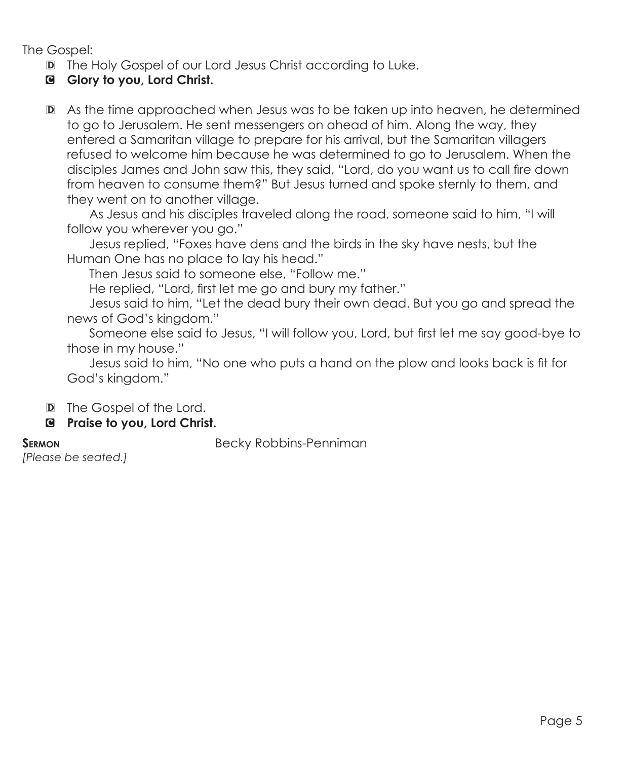The Gospel:

- D The Holy Gospel of our Lord Jesus Christ according to Luke.
- C **Glory to you, Lord Christ.**
- D As the time approached when Jesus was to be taken up into heaven, he determined to go to Jerusalem. He sent messengers on ahead of him. Along the way, they entered a Samaritan village to prepare for his arrival, but the Samaritan villagers refused to welcome him because he was determined to go to Jerusalem. When the disciples James and John saw this, they said, "Lord, do you want us to call fire down from heaven to consume them?" But Jesus turned and spoke sternly to them, and they went on to another village.

 As Jesus and his disciples traveled along the road, someone said to him, "I will follow you wherever you go."

Jesus replied, "Foxes have dens and the birds in the sky have nests, but the Human One has no place to lay his head."

Then Jesus said to someone else, "Follow me."

He replied, "Lord, first let me go and bury my father."

 Jesus said to him, "Let the dead bury their own dead. But you go and spread the news of God's kingdom."

Someone else said to Jesus, "I will follow you, Lord, but first let me say good-bye to those in my house."

Jesus said to him, "No one who puts a hand on the plow and looks back is fit for God's kingdom."

- D The Gospel of the Lord.
- C **Praise to you, Lord Christ.**

**SERMON** Becky Robbins-Penniman

*[Please be seated.]*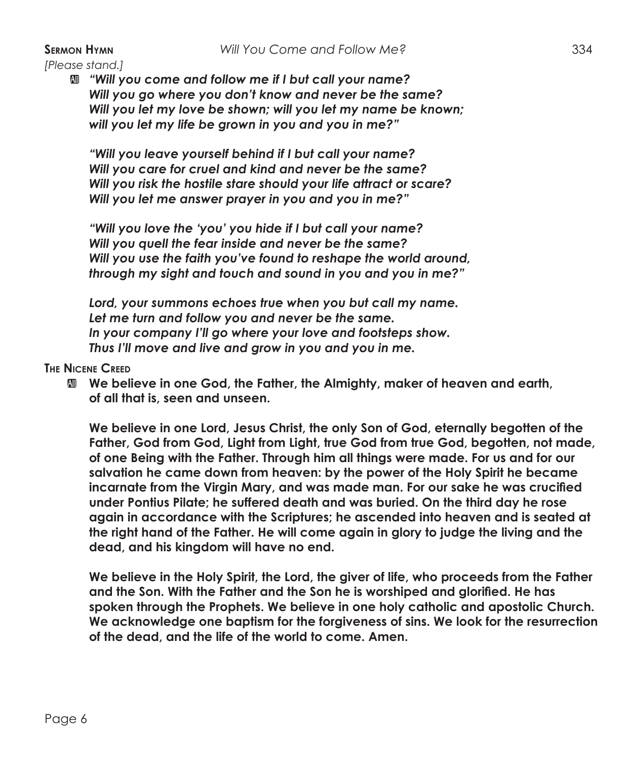# *[Please stand.]*

a *"Will you come and follow me if I but call your name? Will you go where you don't know and never be the same? Will you let my love be shown; will you let my name be known; will you let my life be grown in you and you in me?"*

*"Will you leave yourself behind if I but call your name? Will you care for cruel and kind and never be the same? Will you risk the hostile stare should your life attract or scare? Will you let me answer prayer in you and you in me?"*

*"Will you love the 'you' you hide if I but call your name? Will you quell the fear inside and never be the same? Will you use the faith you've found to reshape the world around, through my sight and touch and sound in you and you in me?"*

*Lord, your summons echoes true when you but call my name. Let me turn and follow you and never be the same. In your company I'll go where your love and footsteps show. Thus I'll move and live and grow in you and you in me.*

### **The Nicene Creed**

a **We believe in one God, the Father, the Almighty, maker of heaven and earth, of all that is, seen and unseen.**

 **We believe in one Lord, Jesus Christ, the only Son of God, eternally begotten of the Father, God from God, Light from Light, true God from true God, begotten, not made, of one Being with the Father. Through him all things were made. For us and for our salvation he came down from heaven: by the power of the Holy Spirit he became incarnate from the Virgin Mary, and was made man. For our sake he was crucified under Pontius Pilate; he suffered death and was buried. On the third day he rose again in accordance with the Scriptures; he ascended into heaven and is seated at the right hand of the Father. He will come again in glory to judge the living and the dead, and his kingdom will have no end.**

 **We believe in the Holy Spirit, the Lord, the giver of life, who proceeds from the Father and the Son. With the Father and the Son he is worshiped and glorified. He has spoken through the Prophets. We believe in one holy catholic and apostolic Church. We acknowledge one baptism for the forgiveness of sins. We look for the resurrection of the dead, and the life of the world to come. Amen.**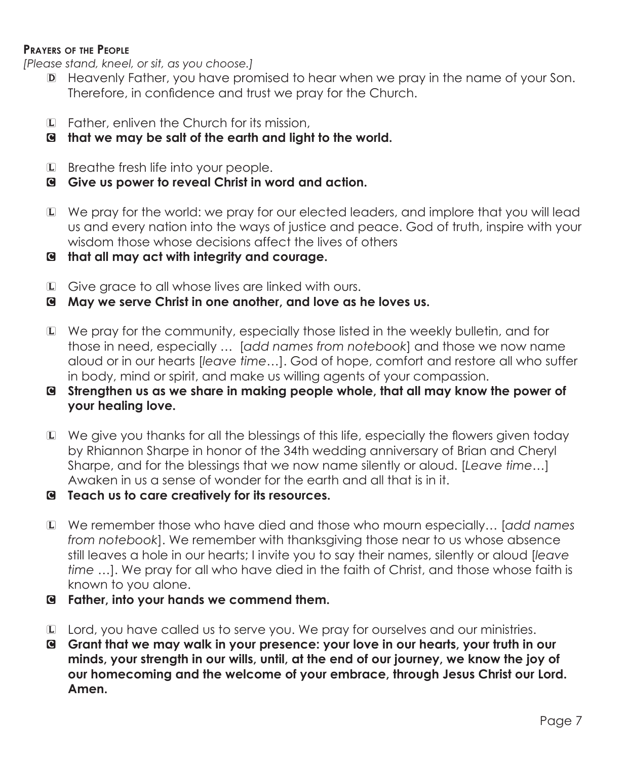### **Prayers of the People**

*[Please stand, kneel, or sit, as you choose.]*

- D Heavenly Father, you have promised to hear when we pray in the name of your Son. Therefore, in confidence and trust we pray for the Church.
- L Father, enliven the Church for its mission,
- C **that we may be salt of the earth and light to the world.**
- L Breathe fresh life into your people.
- C **Give us power to reveal Christ in word and action.**
- L We pray for the world: we pray for our elected leaders, and implore that you will lead us and every nation into the ways of justice and peace. God of truth, inspire with your wisdom those whose decisions affect the lives of others
- C **that all may act with integrity and courage.**
- L Give grace to all whose lives are linked with ours.
- C **May we serve Christ in one another, and love as he loves us.**
- L We pray for the community, especially those listed in the weekly bulletin, and for those in need, especially … [*add names from notebook*] and those we now name aloud or in our hearts [*leave time…*]. God of hope, comfort and restore all who suffer in body, mind or spirit, and make us willing agents of your compassion.
- C **Strengthen us as we share in making people whole, that all may know the power of your healing love.**
- L We give you thanks for all the blessings of this life, especially the flowers given today by Rhiannon Sharpe in honor of the 34th wedding anniversary of Brian and Cheryl Sharpe, and for the blessings that we now name silently or aloud. [*Leave time…*] Awaken in us a sense of wonder for the earth and all that is in it.
- C **Teach us to care creatively for its resources.**
- L We remember those who have died and those who mourn especially… [*add names from notebook*]. We remember with thanksgiving those near to us whose absence still leaves a hole in our hearts; I invite you to say their names, silently or aloud [*leave time …*]. We pray for all who have died in the faith of Christ, and those whose faith is known to you alone.
- C **Father, into your hands we commend them.**
- L Lord, you have called us to serve you. We pray for ourselves and our ministries.
- C **Grant that we may walk in your presence: your love in our hearts, your truth in our minds, your strength in our wills, until, at the end of our journey, we know the joy of our homecoming and the welcome of your embrace, through Jesus Christ our Lord. Amen.**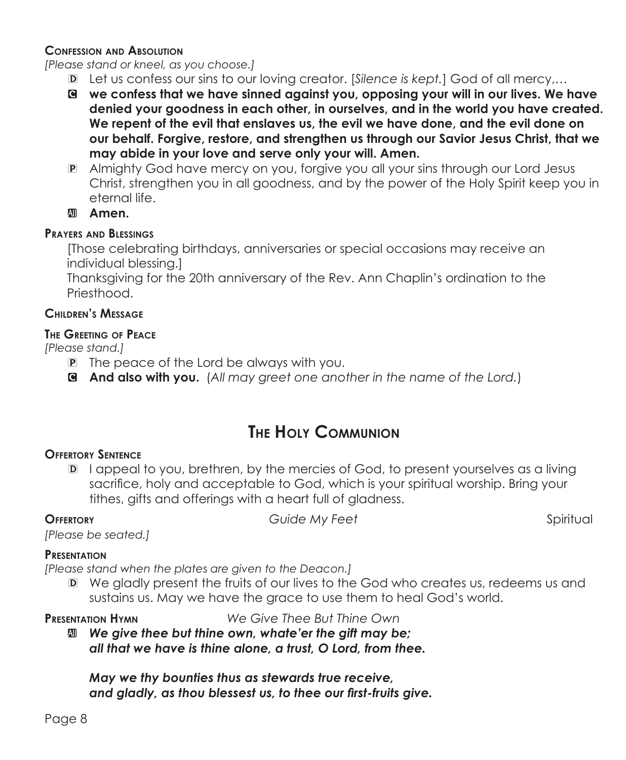### **Confession and Absolution**

*[Please stand or kneel, as you choose.]*

- D Let us confess our sins to our loving creator. [*Silence is kept.*] God of all mercy,…
- C **we confess that we have sinned against you, opposing your will in our lives. We have denied your goodness in each other, in ourselves, and in the world you have created. We repent of the evil that enslaves us, the evil we have done, and the evil done on our behalf. Forgive, restore, and strengthen us through our Savior Jesus Christ, that we may abide in your love and serve only your will. Amen.**
- P Almighty God have mercy on you, forgive you all your sins through our Lord Jesus Christ, strengthen you in all goodness, and by the power of the Holy Spirit keep you in eternal life.
- **M** Amen.

### **Prayers and Blessings**

[Those celebrating birthdays, anniversaries or special occasions may receive an individual blessing.]

Thanksgiving for the 20th anniversary of the Rev. Ann Chaplin's ordination to the Priesthood.

### **Children's Message**

### **The Greeting of Peace**

*[Please stand.]*

- P The peace of the Lord be always with you.
- C **And also with you.** (*All may greet one another in the name of the Lord.*)

# **The Holy Communion**

### **Offertory Sentence**

D I appeal to you, brethren, by the mercies of God, to present yourselves as a living sacrifice, holy and acceptable to God, which is your spiritual worship. Bring your tithes, gifts and offerings with a heart full of gladness.

**OFFERTORY Spiritual Guide My Feet** Spiritual **Spiritual** Spiritual **Spiritual** Spiritual Spiritual Spiritual Spiritual Spiritual Spiritual Spiritual Spiritual Spiritual Spiritual Spiritual Spiritual Spiritual Spiritua

*[Please be seated.]*

### **Presentation**

*[Please stand when the plates are given to the Deacon.]*

D We gladly present the fruits of our lives to the God who creates us, redeems us and sustains us. May we have the grace to use them to heal God's world.

**Presentation Hymn** *We Give Thee But Thine Own*

a *We give thee but thine own, whate'er the gift may be; all that we have is thine alone, a trust, O Lord, from thee.*

*May we thy bounties thus as stewards true receive, and gladly, as thou blessest us, to thee our first-fruits give.*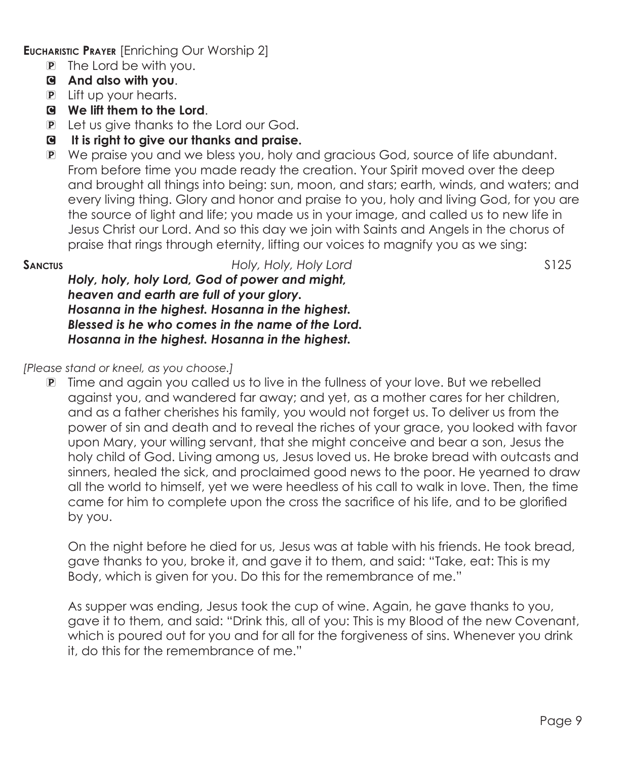**Eucharistic Prayer** [Enriching Our Worship 2]

- P The Lord be with you.
- C **And also with you**.
- P Lift up your hearts.
- C **We lift them to the Lord**.
- P Let us give thanks to the Lord our God.
- C **It is right to give our thanks and praise.**
- P We praise you and we bless you, holy and gracious God, source of life abundant. From before time you made ready the creation. Your Spirit moved over the deep and brought all things into being: sun, moon, and stars; earth, winds, and waters; and every living thing. Glory and honor and praise to you, holy and living God, for you are the source of light and life; you made us in your image, and called us to new life in Jesus Christ our Lord. And so this day we join with Saints and Angels in the chorus of praise that rings through eternity, lifting our voices to magnify you as we sing:

### **Sanctus** *Holy, Holy, Holy Lord* S125

*Holy, holy, holy Lord, God of power and might, heaven and earth are full of your glory. Hosanna in the highest. Hosanna in the highest. Blessed is he who comes in the name of the Lord. Hosanna in the highest. Hosanna in the highest.*

*[Please stand or kneel, as you choose.]*

P Time and again you called us to live in the fullness of your love. But we rebelled against you, and wandered far away; and yet, as a mother cares for her children, and as a father cherishes his family, you would not forget us. To deliver us from the power of sin and death and to reveal the riches of your grace, you looked with favor upon Mary, your willing servant, that she might conceive and bear a son, Jesus the holy child of God. Living among us, Jesus loved us. He broke bread with outcasts and sinners, healed the sick, and proclaimed good news to the poor. He yearned to draw all the world to himself, yet we were heedless of his call to walk in love. Then, the time came for him to complete upon the cross the sacrifice of his life, and to be glorified by you.

 On the night before he died for us, Jesus was at table with his friends. He took bread, gave thanks to you, broke it, and gave it to them, and said: "Take, eat: This is my Body, which is given for you. Do this for the remembrance of me."

 As supper was ending, Jesus took the cup of wine. Again, he gave thanks to you, gave it to them, and said: "Drink this, all of you: This is my Blood of the new Covenant, which is poured out for you and for all for the forgiveness of sins. Whenever you drink it, do this for the remembrance of me."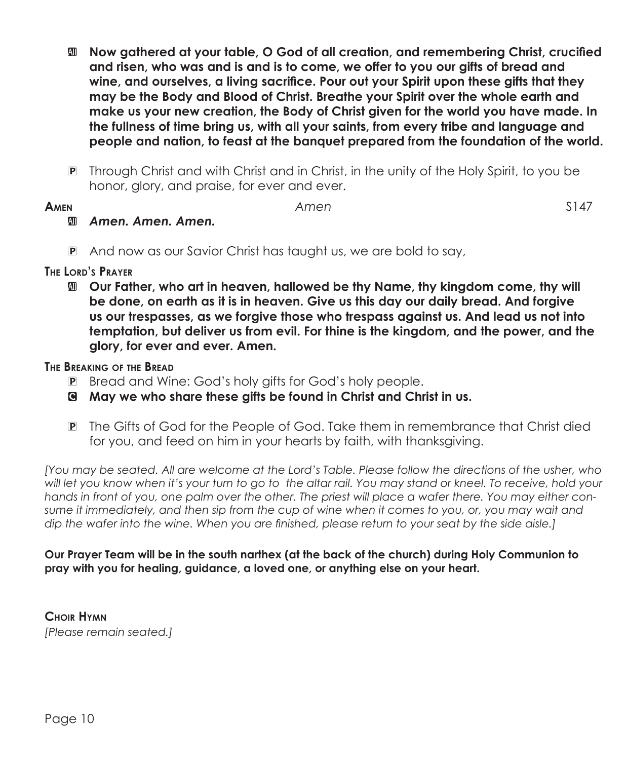- a **Now gathered at your table, O God of all creation, and remembering Christ, crucified and risen, who was and is and is to come, we offer to you our gifts of bread and wine, and ourselves, a living sacrifice. Pour out your Spirit upon these gifts that they may be the Body and Blood of Christ. Breathe your Spirit over the whole earth and make us your new creation, the Body of Christ given for the world you have made. In the fullness of time bring us, with all your saints, from every tribe and language and people and nation, to feast at the banquet prepared from the foundation of the world.**
- P Through Christ and with Christ and in Christ, in the unity of the Holy Spirit, to you be honor, glory, and praise, for ever and ever.

### **Amen** *Amen* S147

### a *Amen. Amen. Amen.*

P And now as our Savior Christ has taught us, we are bold to say,

### **The Lord's Prayer**

a **Our Father, who art in heaven, hallowed be thy Name, thy kingdom come, thy will be done, on earth as it is in heaven. Give us this day our daily bread. And forgive us our trespasses, as we forgive those who trespass against us. And lead us not into temptation, but deliver us from evil. For thine is the kingdom, and the power, and the glory, for ever and ever. Amen.**

### **The Breaking of the Bread**

- P Bread and Wine: God's holy gifts for God's holy people.
- C **May we who share these gifts be found in Christ and Christ in us.**
- P The Gifts of God for the People of God. Take them in remembrance that Christ died for you, and feed on him in your hearts by faith, with thanksgiving.

*[You may be seated. All are welcome at the Lord's Table. Please follow the directions of the usher, who*  will let you know when it's your turn to go to the altar rail. You may stand or kneel. To receive, hold your *hands in front of you, one palm over the other. The priest will place a wafer there. You may either consume it immediately, and then sip from the cup of wine when it comes to you, or, you may wait and dip the wafer into the wine. When you are finished, please return to your seat by the side aisle.]*

**Our Prayer Team will be in the south narthex (at the back of the church) during Holy Communion to pray with you for healing, guidance, a loved one, or anything else on your heart.** 

**Choir Hymn** *[Please remain seated.]*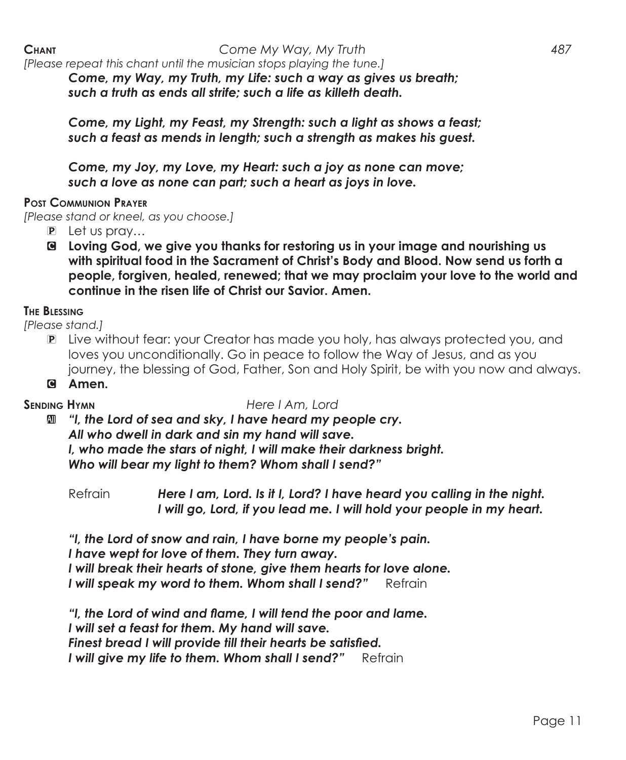*[Please repeat this chant until the musician stops playing the tune.]*

*Come, my Way, my Truth, my Life: such a way as gives us breath; such a truth as ends all strife; such a life as killeth death.*

*Come, my Light, my Feast, my Strength: such a light as shows a feast; such a feast as mends in length; such a strength as makes his guest.*

*Come, my Joy, my Love, my Heart: such a joy as none can move; such a love as none can part; such a heart as joys in love.* 

### **Post Communion Prayer**

*[Please stand or kneel, as you choose.]*

- P Let us pray…
- C **Loving God, we give you thanks for restoring us in your image and nourishing us with spiritual food in the Sacrament of Christ's Body and Blood. Now send us forth a people, forgiven, healed, renewed; that we may proclaim your love to the world and continue in the risen life of Christ our Savior. Amen.**

### **The Blessing**

*[Please stand.]*

- P Live without fear: your Creator has made you holy, has always protected you, and loves you unconditionally. Go in peace to follow the Way of Jesus, and as you journey, the blessing of God, Father, Son and Holy Spirit, be with you now and always.
- C **Amen.**

**Sending Hymn** *Here I Am, Lord*

a *"I, the Lord of sea and sky, I have heard my people cry. All who dwell in dark and sin my hand will save. I, who made the stars of night, I will make their darkness bright. Who will bear my light to them? Whom shall I send?"*

Refrain *Here I am, Lord. Is it I, Lord? I have heard you calling in the night. I will go, Lord, if you lead me. I will hold your people in my heart.*

*"I, the Lord of snow and rain, I have borne my people's pain.*

*I have wept for love of them. They turn away.*

*I will break their hearts of stone, give them hearts for love alone.*

*I* will speak my word to them. Whom shall I send?" Refrain

*"I, the Lord of wind and flame, I will tend the poor and lame. I will set a feast for them. My hand will save. Finest bread I will provide till their hearts be satisfied. I* will give my life to them. Whom shall I send?" Refrain